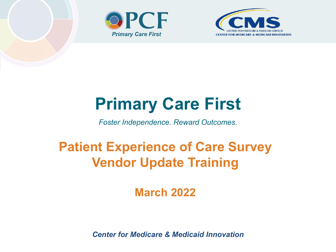



## **Primary Care First**

*Foster Independence. Reward Outcomes.*

## **Patient Experience of Care Survey Vendor Update Training**

**March 2022**

*Center for Medicare & Medicaid Innovation*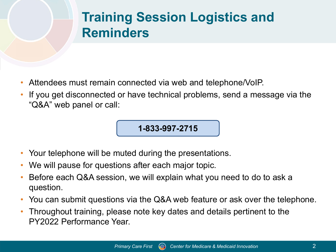## **Training Session Logistics and Reminders**

- Attendees must remain connected via web and telephone/VoIP.
- If you get disconnected or have technical problems, send a message via the "Q&A" web panel or call:

#### **1-833-997-2715**

- Your telephone will be muted during the presentations.
- We will pause for questions after each major topic.
- Before each Q&A session, we will explain what you need to do to ask a question.
- You can submit questions via the Q&A web feature or ask over the telephone.
- Throughout training, please note key dates and details pertinent to the PY2022 Performance Year.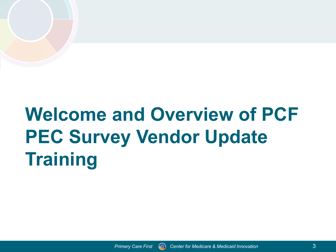# **Welcome and Overview of PCF PEC Survey Vendor Update Training**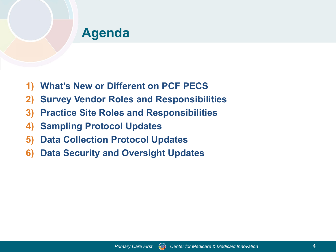#### **Agenda**

- **1) What's New or Different on PCF PECS**
- **2) Survey Vendor Roles and Responsibilities**
- **3) Practice Site Roles and Responsibilities**
- **4) Sampling Protocol Updates**
- **5) Data Collection Protocol Updates**
- **6) Data Security and Oversight Updates**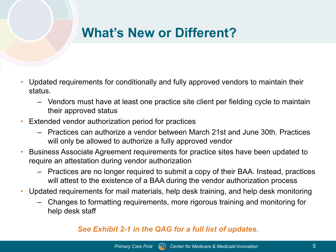### **What's New or Different?**

- Updated requirements for conditionally and fully approved vendors to maintain their status.
	- Vendors must have at least one practice site client per fielding cycle to maintain their approved status
- Extended vendor authorization period for practices
	- Practices can authorize a vendor between March 21st and June 30th. Practices will only be allowed to authorize a fully approved vendor
- Business Associate Agreement requirements for practice sites have been updated to require an attestation during vendor authorization
	- Practices are no longer required to submit a copy of their BAA. Instead, practices will attest to the existence of a BAA during the vendor authorization process
- Updated requirements for mail materials, help desk training, and help desk monitoring
	- Changes to formatting requirements, more rigorous training and monitoring for help desk staff

#### *See Exhibit 2-1 in the QAG for a full list of updates.*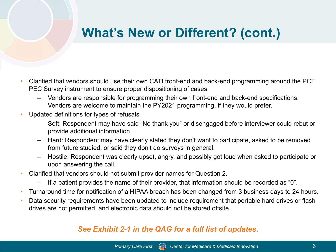### **What's New or Different? (cont.)**

- Clarified that vendors should use their own CATI front-end and back-end programming around the PCF PEC Survey instrument to ensure proper dispositioning of cases.
	- Vendors are responsible for programming their own front-end and back-end specifications. Vendors are welcome to maintain the PY2021 programming, if they would prefer.
- Updated definitions for types of refusals
	- Soft: Respondent may have said "No thank you" or disengaged before interviewer could rebut or provide additional information.
	- Hard: Respondent may have clearly stated they don't want to participate, asked to be removed from future studied, or said they don't do surveys in general.
	- Hostile: Respondent was clearly upset, angry, and possibly got loud when asked to participate or upon answering the call.
- Clarified that vendors should not submit provider names for Question 2.
	- If a patient provides the name of their provider, that information should be recorded as "0".
- Turnaround time for notification of a HIPAA breach has been changed from 3 business days to 24 hours.
- Data security requirements have been updated to include requirement that portable hard drives or flash drives are not permitted, and electronic data should not be stored offsite.

#### *See Exhibit 2-1 in the QAG for a full list of updates.*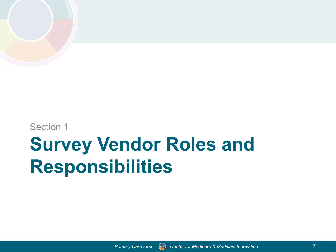

#### Section 1

## **Survey Vendor Roles and Responsibilities**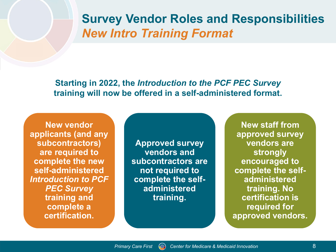#### **Survey Vendor Roles and Responsibilities** *New Intro Training Format*

**Starting in 2022, the** *Introduction to the PCF PEC Survey*  **training will now be offered in a self-administered format.**

**New vendor applicants (and any subcontractors) are required to complete the new self-administered**  *Introduction to PCF PEC Survey*  **training and complete a certification.** 

**Approved survey vendors and subcontractors are not required to complete the selfadministered training.**

**New staff from approved survey vendors are strongly encouraged to complete the selfadministered training. No certification is required for approved vendors.**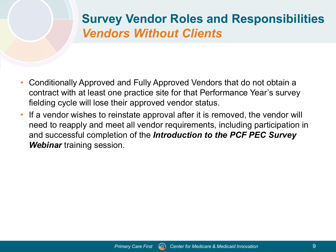#### **Survey Vendor Roles and Responsibilities** *Vendors Without Clients*

- Conditionally Approved and Fully Approved Vendors that do not obtain a contract with at least one practice site for that Performance Year's survey fielding cycle will lose their approved vendor status.
- If a vendor wishes to reinstate approval after it is removed, the vendor will need to reapply and meet all vendor requirements, including participation in and successful completion of the *Introduction to the PCF PEC Survey Webinar* training session.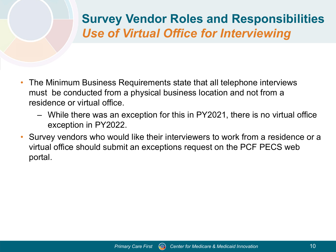#### **Survey Vendor Roles and Responsibilities** *Use of Virtual Office for Interviewing*

- The Minimum Business Requirements state that all telephone interviews must be conducted from a physical business location and not from a residence or virtual office.
	- While there was an exception for this in PY2021, there is no virtual office exception in PY2022.
- Survey vendors who would like their interviewers to work from a residence or a virtual office should submit an exceptions request on the PCF PECS web portal.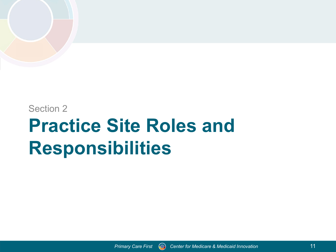#### Section 2

## **Practice Site Roles and Responsibilities**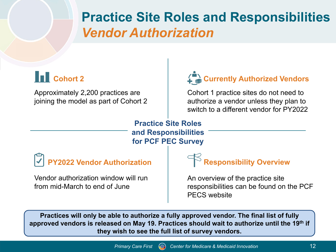### **Practice Site Roles and Responsibilities** *Vendor Authorization*

#### **Cohort 2**

Approximately 2,200 practices are joining the model as part of Cohort 2



Cohort 1 practice sites do not need to authorize a vendor unless they plan to switch to a different vendor for PY2022

**Practice Site Roles and Responsibilities for PCF PEC Survey**

**PY2022 Vendor Authorization** 

Vendor authorization window will run from mid-March to end of June

#### **Responsibility Overview**

An overview of the practice site responsibilities can be found on the PCF PECS website

**Practices will only be able to authorize a fully approved vendor. The final list of fully approved vendors is released on May 19. Practices should wait to authorize until the 19th if they wish to see the full list of survey vendors.**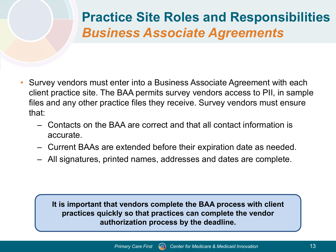## **Practice Site Roles and Responsibilities** *Business Associate Agreements*

- Survey vendors must enter into a Business Associate Agreement with each client practice site. The BAA permits survey vendors access to PII, in sample files and any other practice files they receive. Survey vendors must ensure that:
	- Contacts on the BAA are correct and that all contact information is accurate.
	- Current BAAs are extended before their expiration date as needed.
	- All signatures, printed names, addresses and dates are complete.

**It is important that vendors complete the BAA process with client practices quickly so that practices can complete the vendor authorization process by the deadline.**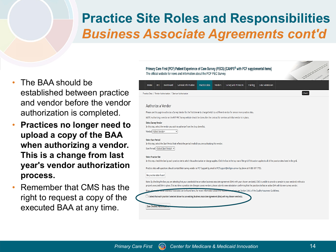### **Practice Site Roles and Responsibilities** *Business Associate Agreements cont'd*

- The BAA should be established between practice and vendor before the vendor authorization is completed.
- **Practices no longer need to upload a copy of the BAA when authorizing a vendor. This is a change from last year's vendor authorization process.**
- Remember that CMS has the right to request a copy of the executed BAA at any time.



#### Authorize a Vendor

Please use this page to authorize a Survey Vendor for the first time or to change/switch to a different vendor for one or more practice sites. NOTE: Authorizing a vendor on the PCF PEC Survey website should be done after the contract for services with that vendor is in place. **Select Survey Vendor** In this step, select the vendor you wish to authorize from the drop down list. Vendor <Select Vendor>

#### **Select Start Period**

In this step, select the Start Period that reflects the period in which you are authorizing this vendor.

Start Period <Select Start Period> v

#### **Select Practice Site**

In this step, check the box by each practice site to which this authorization or change applies. Click the box in the top row of the grid if this action applies to all of the practice sites listed in the grid.

Practice sites with questions should contact their survey vendor or PCF Support by email at PCFSupport@telligen.com or by phone at 1-888-517-7753.

No practice sites found

Save Checked Authorize

Note: By checking the box you are attesting that your practice(s) has an active business associate agreement (BAA) with your chosen vendor(s). CMS is unable to provide a sample to your vendor(s) without a properly executed BAA in place. If at any time a practice site changes survey vendors, please submit a new attestation confirming that the practice site has an active BAA with its new survey vendor.

ness Associates can be found here. For more information about this requirements of asse see Section 3.4.6. of the Quality Assurance Guidelines

□ I attest that each practice I selected above has an existing Business Associate Agreement (BAA) with my chosen vendor(s).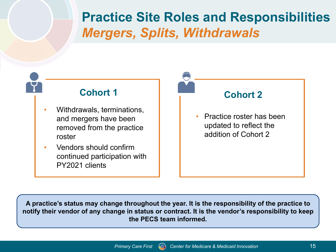### **Practice Site Roles and Responsibilities** *Mergers, Splits, Withdrawals*



**A practice's status may change throughout the year. It is the responsibility of the practice to notify their vendor of any change in status or contract. It is the vendor's responsibility to keep the PECS team informed.**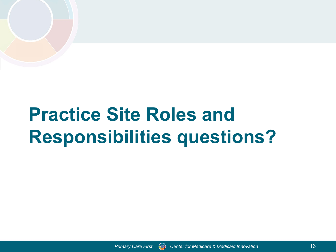# **Practice Site Roles and Responsibilities questions?**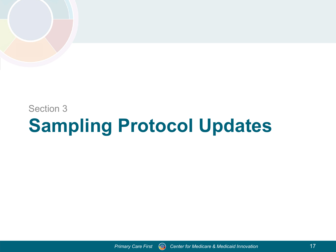#### Section 3

## **Sampling Protocol Updates**

*Primary Care First Center for Medicare & Medicaid Innovation*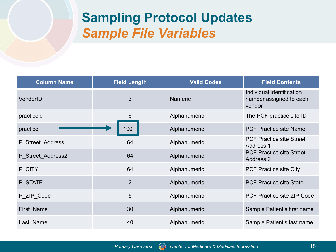### **Sampling Protocol Updates** *Sample File Variables*

| <b>Column Name</b> | <b>Field Length</b> | <b>Valid Codes</b> | <b>Field Contents</b>                                          |
|--------------------|---------------------|--------------------|----------------------------------------------------------------|
| VendorID           | 3                   | <b>Numeric</b>     | Individual identification<br>number assigned to each<br>vendor |
| practiceid         | $6\phantom{1}6$     | Alphanumeric       | The PCF practice site ID                                       |
| practice           | 100                 | Alphanumeric       | <b>PCF Practice site Name</b>                                  |
| P_Street_Address1  | 64                  | Alphanumeric       | <b>PCF Practice site Street</b><br><b>Address 1</b>            |
| P_Street_Address2  | 64                  | Alphanumeric       | <b>PCF Practice site Street</b><br>Address 2                   |
| P_CITY             | 64                  | Alphanumeric       | <b>PCF Practice site City</b>                                  |
| P_STATE            | 2                   | Alphanumeric       | <b>PCF Practice site State</b>                                 |
| P ZIP Code         | 5                   | Alphanumeric       | <b>PCF Practice site ZIP Code</b>                              |
| First Name         | 30                  | Alphanumeric       | Sample Patient's first name                                    |
| Last Name          | 40                  | Alphanumeric       | Sample Patient's last name                                     |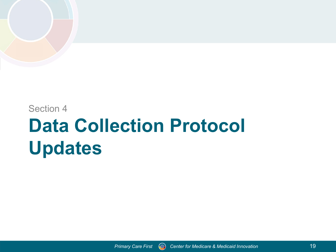Section 4

# **Data Collection Protocol Updates**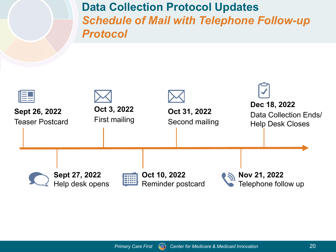**Data Collection Protocol Updates** *Schedule of Mail with Telephone Follow-up Protocol*

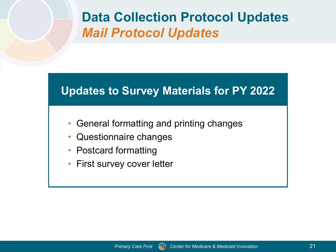### **Data Collection Protocol Updates** *Mail Protocol Updates*

#### **Updates to Survey Materials for PY 2022**

- General formatting and printing changes
- Questionnaire changes
- Postcard formatting
- First survey cover letter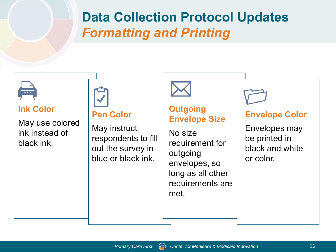### **Data Collection Protocol Updates** *Formatting and Printing*

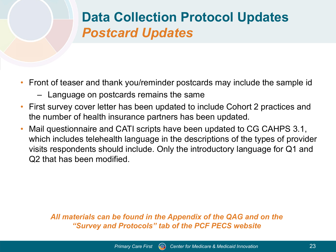## **Data Collection Protocol Updates** *Postcard Updates*

- Front of teaser and thank you/reminder postcards may include the sample id
	- Language on postcards remains the same
- First survey cover letter has been updated to include Cohort 2 practices and the number of health insurance partners has been updated.
- Mail questionnaire and CATI scripts have been updated to CG CAHPS 3.1, which includes telehealth language in the descriptions of the types of provider visits respondents should include. Only the introductory language for Q1 and Q2 that has been modified.

*All materials can be found in the Appendix of the QAG and on the "Survey and Protocols" tab of the PCF PECS website*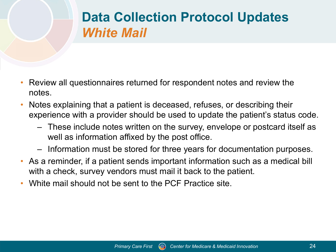## **Data Collection Protocol Updates** *White Mail*

- Review all questionnaires returned for respondent notes and review the notes.
- Notes explaining that a patient is deceased, refuses, or describing their experience with a provider should be used to update the patient's status code.
	- These include notes written on the survey, envelope or postcard itself as well as information affixed by the post office.
	- Information must be stored for three years for documentation purposes.
- As a reminder, if a patient sends important information such as a medical bill with a check, survey vendors must mail it back to the patient.
- White mail should not be sent to the PCF Practice site.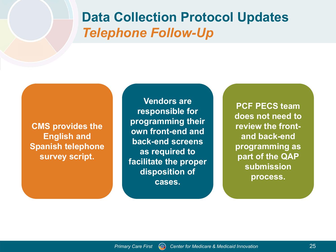#### **Data Collection Protocol Updates** *Telephone Follow-Up*

**CMS provides the English and Spanish telephone survey script.**

**Vendors are responsible for programming their own front-end and back-end screens as required to facilitate the proper disposition of cases.**

**PCF PECS team does not need to review the frontand back-end programming as part of the QAP submission process.**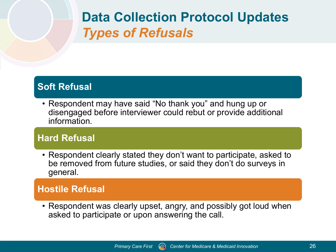## **Data Collection Protocol Updates** *Types of Refusals*

#### **Soft Refusal**

• Respondent may have said "No thank you" and hung up or disengaged before interviewer could rebut or provide additional information.

#### **Hard Refusal**

• Respondent clearly stated they don't want to participate, asked to be removed from future studies, or said they don't do surveys in general.

#### **Hostile Refusal**

• Respondent was clearly upset, angry, and possibly got loud when asked to participate or upon answering the call.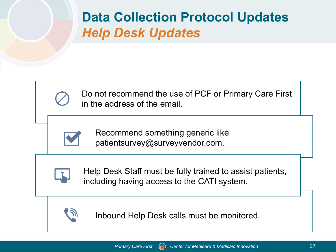## **Data Collection Protocol Updates** *Help Desk Updates*



Do not recommend the use of PCF or Primary Care First in the address of the email.



Recommend something generic like patientsurvey@surveyvendor.com.



Help Desk Staff must be fully trained to assist patients, including having access to the CATI system.



Inbound Help Desk calls must be monitored.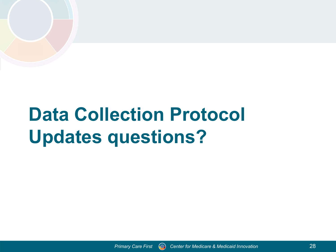# **Data Collection Protocol Updates questions?**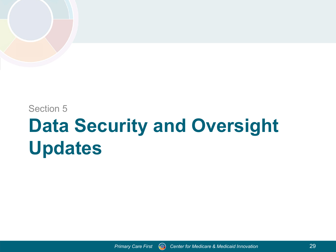Section 5

# **Data Security and Oversight Updates**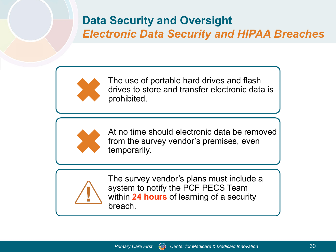#### **Data Security and Oversight** *Electronic Data Security and HIPAA Breaches*



The use of portable hard drives and flash drives to store and transfer electronic data is prohibited.



At no time should electronic data be removed from the survey vendor's premises, even temporarily.



The survey vendor's plans must include a system to notify the PCF PECS Team within **24 hours** of learning of a security breach.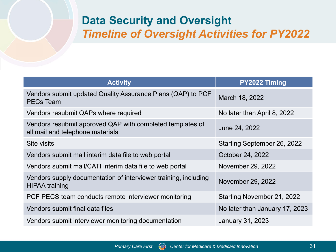#### **Data Security and Oversight** *Timeline of Oversight Activities for PY2022*

| <b>Activity</b>                                                                               | PY2022 Timing                  |  |  |
|-----------------------------------------------------------------------------------------------|--------------------------------|--|--|
| Vendors submit updated Quality Assurance Plans (QAP) to PCF<br><b>PECs Team</b>               | March 18, 2022                 |  |  |
| Vendors resubmit QAPs where required                                                          | No later than April 8, 2022    |  |  |
| Vendors resubmit approved QAP with completed templates of<br>all mail and telephone materials | June 24, 2022                  |  |  |
| Site visits                                                                                   | Starting September 26, 2022    |  |  |
| Vendors submit mail interim data file to web portal                                           | October 24, 2022               |  |  |
| Vendors submit mail/CATI interim data file to web portal                                      | November 29, 2022              |  |  |
| Vendors supply documentation of interviewer training, including<br><b>HIPAA training</b>      | November 29, 2022              |  |  |
| PCF PECS team conducts remote interviewer monitoring                                          | Starting November 21, 2022     |  |  |
| Vendors submit final data files                                                               | No later than January 17, 2023 |  |  |
| Vendors submit interviewer monitoring documentation                                           | <b>January 31, 2023</b>        |  |  |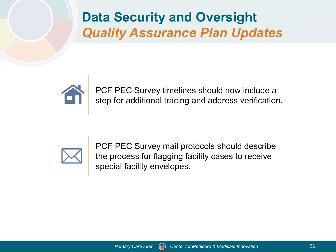**Data Security and Oversight** *Quality Assurance Plan Updates*



PCF PEC Survey timelines should now include a step for additional tracing and address verification.



PCF PEC Survey mail protocols should describe the process for flagging facility cases to receive special facility envelopes.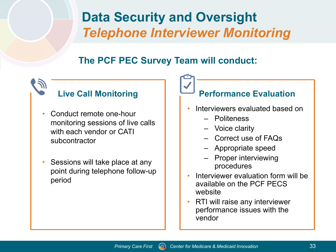## **Data Security and Oversight** *Telephone Interviewer Monitoring*

#### **The PCF PEC Survey Team will conduct:**

### **Live Call Monitoring**

- Conduct remote one-hour monitoring sessions of live calls with each vendor or CATI subcontractor
- Sessions will take place at any point during telephone follow-up period

#### **Performance Evaluation**

- Interviewers evaluated based on
	- Politeness
	- Voice clarity
	- Correct use of FAQs
	- Appropriate speed
	- Proper interviewing procedures
- Interviewer evaluation form will be available on the PCF PECS website
- RTI will raise any interviewer performance issues with the vendor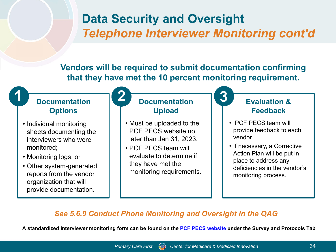#### **Data Security and Oversight** *Telephone Interviewer Monitoring cont'd*

**Vendors will be required to submit documentation confirming that they have met the 10 percent monitoring requirement.**

#### **Documentation Options**

- Individual monitoring sheets documenting the interviewers who were monitored;
- Monitoring logs; or
- Other system-generated reports from the vendor organization that will provide documentation.

#### **Documentation Upload 1 Documentation 2 Documentation 3**

- Must be uploaded to the PCF PECS website no later than Jan 31, 2023.
- PCF PECS team will evaluate to determine if they have met the monitoring requirements.

#### **Evaluation & Feedback**

- PCF PECS team will provide feedback to each vendor.
- If necessary, a Corrective Action Plan will be put in place to address any deficiencies in the vendor's monitoring process.

#### *See 5.6.9 Conduct Phone Monitoring and Oversight in the QAG*

**A standardized interviewer monitoring form can be found on the [PCF PECS website](https://pcfpecs.org/) under the Survey and Protocols Tab**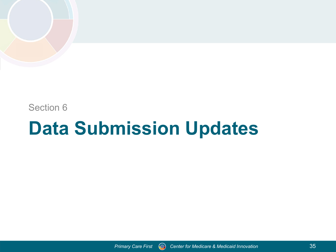Section 6

## **Data Submission Updates**

*Primary Care First Center for Medicare & Medicaid Innovation*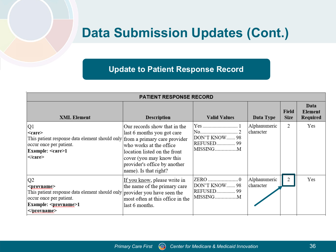### **Data Submission Updates (Cont.)**

#### **Update to Patient Response Record**

| <b>PATIENT RESPONSE RECORD</b>                                                                                                                                                         |                                                                                                                                                                                                            |                                                   |                           |                      |                                    |  |  |  |  |
|----------------------------------------------------------------------------------------------------------------------------------------------------------------------------------------|------------------------------------------------------------------------------------------------------------------------------------------------------------------------------------------------------------|---------------------------------------------------|---------------------------|----------------------|------------------------------------|--|--|--|--|
| <b>XML Element</b>                                                                                                                                                                     | <b>Description</b>                                                                                                                                                                                         | <b>Valid Values</b>                               | Data Type                 | Field<br><b>Size</b> | Data<br><b>Element</b><br>Required |  |  |  |  |
| Q1<br>$<$ care $>$<br>This patient response data element should only from a primary care provider<br>occur once per patient.<br>Example: <care>1<br/><math>&lt;</math>/care&gt;</care> | Our records show that in the<br>last 6 months you got care<br>who works at the office<br>location listed on the front<br>cover (you may know this<br>provider's office by another<br>name). Is that right? | DON'T KNOW 98<br>REFUSED 99<br>MISSINGM           | Alphanumeric<br>character | 2                    | Yes                                |  |  |  |  |
| Q2<br><provname><br/>This patient response data element should only provider you have seen the<br/>occur once per patient.<br/>Example: <provname>1<br/></provname></provname>         | If you know, please write in<br>the name of the primary care<br>most often at this office in the<br>last 6 months.                                                                                         | ZERO 0<br>DON'T KNOW 98<br>REFUSED 99<br>MISSINGM | Alphanumeric<br>character | 2                    | Yes                                |  |  |  |  |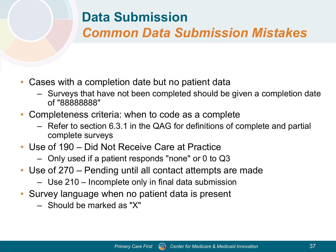## **Data Submission**  *Common Data Submission Mistakes*

- Cases with a completion date but no patient data
	- Surveys that have not been completed should be given a completion date of "88888888"
- Completeness criteria: when to code as a complete
	- Refer to section 6.3.1 in the QAG for definitions of complete and partial complete surveys
- Use of 190 Did Not Receive Care at Practice
	- Only used if a patient responds "none" or 0 to Q3
- Use of 270 Pending until all contact attempts are made
	- Use 210 Incomplete only in final data submission
- Survey language when no patient data is present
	- Should be marked as "X"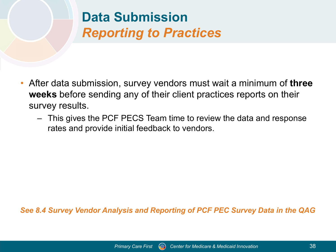## **Data Submission**  *Reporting to Practices*

- After data submission, survey vendors must wait a minimum of **three weeks** before sending any of their client practices reports on their survey results.
	- This gives the PCF PECS Team time to review the data and response rates and provide initial feedback to vendors.

*See 8.4 Survey Vendor Analysis and Reporting of PCF PEC Survey Data in the QAG*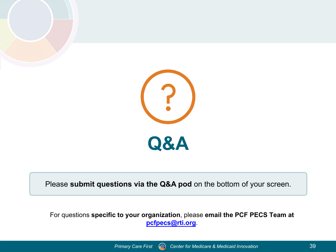



Please **submit questions via the Q&A pod** on the bottom of your screen.

For questions **specific to your organization**, please **email the PCF PECS Team at [pcfpecs@rti.org](mailto:pcfpecs@rti.org)**.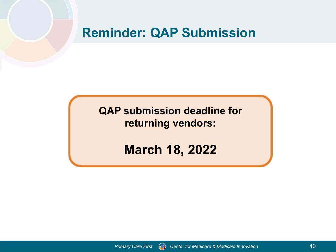#### **Reminder: QAP Submission**

**QAP submission deadline for returning vendors:**

**March 18, 2022**